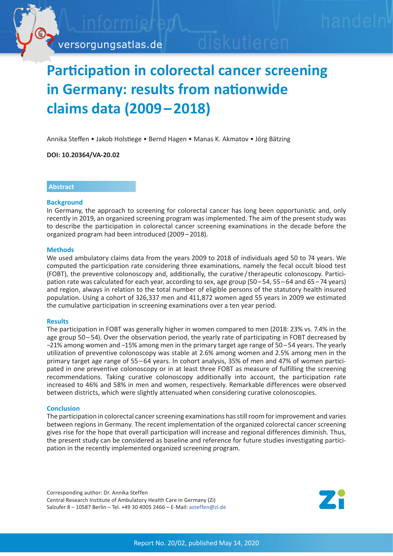

# **Participation in colorectal cancer screening in Germany: results from nationwide claims data (2009 – 2018)**

Annika Steffen • Jakob Holstiege • Bernd Hagen • Manas K. Akmatov • Jörg Bätzing

**DOI: 10.20364/VA-20.02**

# **Abstract**

## **Background**

In Germany, the approach to screening for colorectal cancer has long been opportunistic and, only recently in 2019, an organized screening program was implemented. The aim of the present study was to describe the participation in colorectal cancer screening examinations in the decade before the organized program had been introduced (2009 – 2018).

## **Methods**

We used ambulatory claims data from the years 2009 to 2018 of individuals aged 50 to 74 years. We computed the participation rate considering three examinations, namely the fecal occult blood test (FOBT), the preventive colonoscopy and, additionally, the curative / therapeutic colonoscopy. Participation rate was calculated for each year, according to sex, age group (50–54, 55–64 and 65–74 years) and region, always in relation to the total number of eligible persons of the statutory health insured population. Using a cohort of 326,337 men and 411,872 women aged 55 years in 2009 we estimated the cumulative participation in screening examinations over a ten year period.

#### **Results**

The participation in FOBT was generally higher in women compared to men (2018: 23% vs. 7.4% in the age group 50 – 54). Over the observation period, the yearly rate of participating in FOBT decreased by −21% among women and −15% among men in the primary target age range of 50 – 54 years. The yearly utilization of preventive colonoscopy was stable at 2.6% among women and 2.5% among men in the primary target age range of 55 – 64 years. In cohort analysis, 35% of men and 47% of women participated in one preventive colonoscopy or in at least three FOBT as measure of fulfilling the screening recommendations. Taking curative colonoscopy additionally into account, the participation rate increased to 46% and 58% in men and women, respectively. Remarkable differences were observed between districts, which were slightly attenuated when considering curative colonoscopies.

## **Conclusion**

The participation in colorectal cancer screening examinations has still room for improvement and varies between regions in Germany. The recent implementation of the organized colorectal cancer screening gives rise for the hope that overall participation will increase and regional differences diminish. Thus, the present study can be considered as baseline and reference for future studies investigating participation in the recently implemented organized screening program.

Corresponding author: Dr. Annika Steffen Central Research Institute of Ambulatory Health Care in Germany (Zi) Salzufer 8 – 10587 Berlin – Tel. +49 30 4005 2466 – E-Mail: asteffe[n@zi.de](mailto:asteffen%40zi.de?subject=VA-Bericht%2020/02%20Darmkrebsfr%C3%BCherkennung)